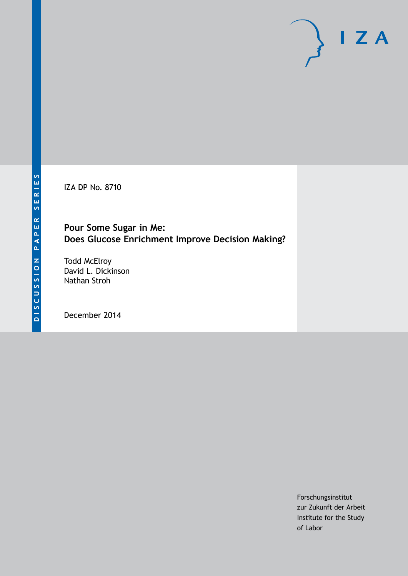IZA DP No. 8710

# **Pour Some Sugar in Me: Does Glucose Enrichment Improve Decision Making?**

Todd McElroy David L. Dickinson Nathan Stroh

December 2014

Forschungsinstitut zur Zukunft der Arbeit Institute for the Study of Labor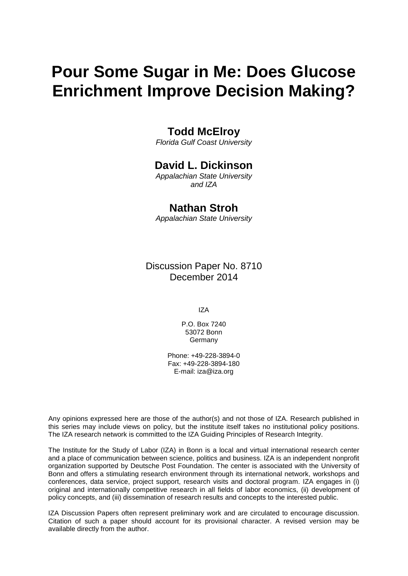# **Pour Some Sugar in Me: Does Glucose Enrichment Improve Decision Making?**

# **Todd McElroy**

*Florida Gulf Coast University*

# **David L. Dickinson**

*Appalachian State University and IZA*

## **Nathan Stroh**

*Appalachian State University*

Discussion Paper No. 8710 December 2014

IZA

P.O. Box 7240 53072 Bonn **Germany** 

Phone: +49-228-3894-0 Fax: +49-228-3894-180 E-mail: [iza@iza.org](mailto:iza@iza.org)

Any opinions expressed here are those of the author(s) and not those of IZA. Research published in this series may include views on policy, but the institute itself takes no institutional policy positions. The IZA research network is committed to the IZA Guiding Principles of Research Integrity.

The Institute for the Study of Labor (IZA) in Bonn is a local and virtual international research center and a place of communication between science, politics and business. IZA is an independent nonprofit organization supported by Deutsche Post Foundation. The center is associated with the University of Bonn and offers a stimulating research environment through its international network, workshops and conferences, data service, project support, research visits and doctoral program. IZA engages in (i) original and internationally competitive research in all fields of labor economics, (ii) development of policy concepts, and (iii) dissemination of research results and concepts to the interested public.

IZA Discussion Papers often represent preliminary work and are circulated to encourage discussion. Citation of such a paper should account for its provisional character. A revised version may be available directly from the author.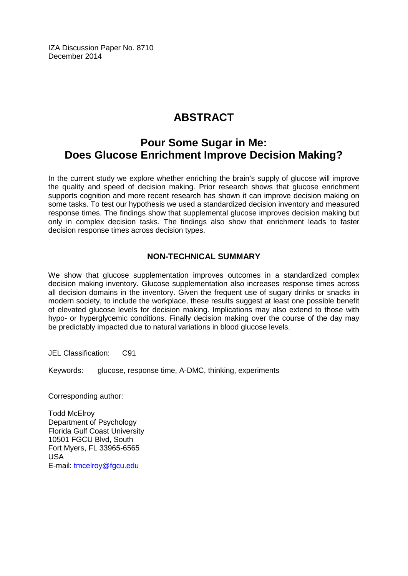IZA Discussion Paper No. 8710 December 2014

# **ABSTRACT**

# **Pour Some Sugar in Me: Does Glucose Enrichment Improve Decision Making?**

In the current study we explore whether enriching the brain's supply of glucose will improve the quality and speed of decision making. Prior research shows that glucose enrichment supports cognition and more recent research has shown it can improve decision making on some tasks. To test our hypothesis we used a standardized decision inventory and measured response times. The findings show that supplemental glucose improves decision making but only in complex decision tasks. The findings also show that enrichment leads to faster decision response times across decision types.

### **NON-TECHNICAL SUMMARY**

We show that glucose supplementation improves outcomes in a standardized complex decision making inventory. Glucose supplementation also increases response times across all decision domains in the inventory. Given the frequent use of sugary drinks or snacks in modern society, to include the workplace, these results suggest at least one possible benefit of elevated glucose levels for decision making. Implications may also extend to those with hypo- or hyperglycemic conditions. Finally decision making over the course of the day may be predictably impacted due to natural variations in blood glucose levels.

JEL Classification: C91

Keywords: glucose, response time, A-DMC, thinking, experiments

Corresponding author:

Todd McElroy Department of Psychology Florida Gulf Coast University 10501 FGCU Blvd, South Fort Myers, FL 33965-6565 USA E-mail: [tmcelroy@fgcu.edu](mailto:tmcelroy@fgcu.edu)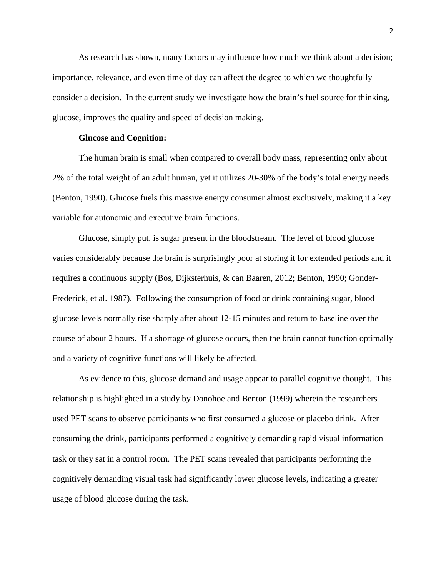As research has shown, many factors may influence how much we think about a decision; importance, relevance, and even time of day can affect the degree to which we thoughtfully consider a decision. In the current study we investigate how the brain's fuel source for thinking, glucose, improves the quality and speed of decision making.

#### **Glucose and Cognition:**

The human brain is small when compared to overall body mass, representing only about 2% of the total weight of an adult human, yet it utilizes 20-30% of the body's total energy needs (Benton, 1990). Glucose fuels this massive energy consumer almost exclusively, making it a key variable for autonomic and executive brain functions.

Glucose, simply put, is sugar present in the bloodstream. The level of blood glucose varies considerably because the brain is surprisingly poor at storing it for extended periods and it requires a continuous supply (Bos, Dijksterhuis, & can Baaren, 2012; Benton, 1990; Gonder-Frederick, et al. 1987). Following the consumption of food or drink containing sugar, blood glucose levels normally rise sharply after about 12-15 minutes and return to baseline over the course of about 2 hours. If a shortage of glucose occurs, then the brain cannot function optimally and a variety of cognitive functions will likely be affected.

As evidence to this, glucose demand and usage appear to parallel cognitive thought. This relationship is highlighted in a study by Donohoe and Benton (1999) wherein the researchers used PET scans to observe participants who first consumed a glucose or placebo drink. After consuming the drink, participants performed a cognitively demanding rapid visual information task or they sat in a control room. The PET scans revealed that participants performing the cognitively demanding visual task had significantly lower glucose levels, indicating a greater usage of blood glucose during the task.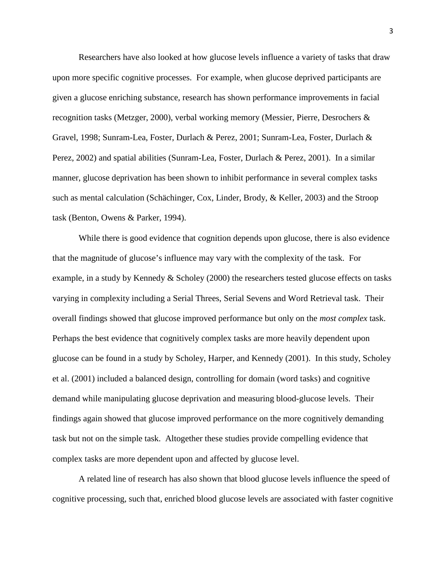Researchers have also looked at how glucose levels influence a variety of tasks that draw upon more specific cognitive processes. For example, when glucose deprived participants are given a glucose enriching substance, research has shown performance improvements in facial recognition tasks (Metzger, 2000), verbal working memory (Messier, Pierre, Desrochers & Gravel, 1998; Sunram-Lea, Foster, Durlach & Perez, 2001; Sunram-Lea, Foster, Durlach & Perez, 2002) and spatial abilities (Sunram-Lea, Foster, Durlach & Perez, 2001). In a similar manner, glucose deprivation has been shown to inhibit performance in several complex tasks such as mental calculation (Schächinger, Cox, Linder, Brody, & Keller, 2003) and the Stroop task (Benton, Owens & Parker, 1994).

While there is good evidence that cognition depends upon glucose, there is also evidence that the magnitude of glucose's influence may vary with the complexity of the task. For example, in a study by Kennedy & Scholey (2000) the researchers tested glucose effects on tasks varying in complexity including a Serial Threes, Serial Sevens and Word Retrieval task. Their overall findings showed that glucose improved performance but only on the *most complex* task. Perhaps the best evidence that cognitively complex tasks are more heavily dependent upon glucose can be found in a study by Scholey, Harper, and Kennedy (2001). In this study, Scholey et al. (2001) included a balanced design, controlling for domain (word tasks) and cognitive demand while manipulating glucose deprivation and measuring blood-glucose levels. Their findings again showed that glucose improved performance on the more cognitively demanding task but not on the simple task. Altogether these studies provide compelling evidence that complex tasks are more dependent upon and affected by glucose level.

A related line of research has also shown that blood glucose levels influence the speed of cognitive processing, such that, enriched blood glucose levels are associated with faster cognitive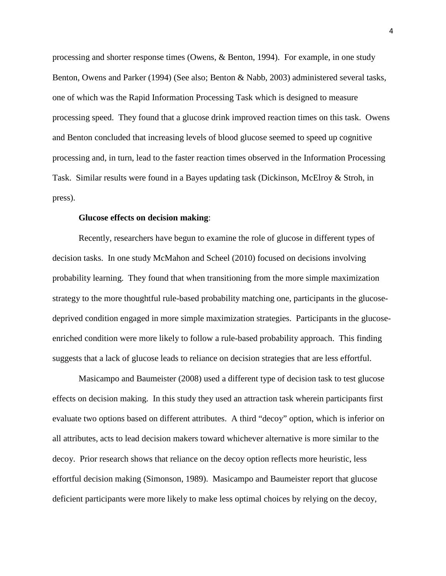processing and shorter response times (Owens, & Benton, 1994). For example, in one study Benton, Owens and Parker (1994) (See also; Benton & Nabb, 2003) administered several tasks, one of which was the Rapid Information Processing Task which is designed to measure processing speed. They found that a glucose drink improved reaction times on this task. Owens and Benton concluded that increasing levels of blood glucose seemed to speed up cognitive processing and, in turn, lead to the faster reaction times observed in the Information Processing Task. Similar results were found in a Bayes updating task (Dickinson, McElroy & Stroh, in press).

#### **Glucose effects on decision making**:

Recently, researchers have begun to examine the role of glucose in different types of decision tasks. In one study McMahon and Scheel (2010) focused on decisions involving probability learning. They found that when transitioning from the more simple maximization strategy to the more thoughtful rule-based probability matching one, participants in the glucosedeprived condition engaged in more simple maximization strategies. Participants in the glucoseenriched condition were more likely to follow a rule-based probability approach. This finding suggests that a lack of glucose leads to reliance on decision strategies that are less effortful.

Masicampo and Baumeister (2008) used a different type of decision task to test glucose effects on decision making. In this study they used an attraction task wherein participants first evaluate two options based on different attributes. A third "decoy" option, which is inferior on all attributes, acts to lead decision makers toward whichever alternative is more similar to the decoy. Prior research shows that reliance on the decoy option reflects more heuristic, less effortful decision making (Simonson, 1989). Masicampo and Baumeister report that glucose deficient participants were more likely to make less optimal choices by relying on the decoy,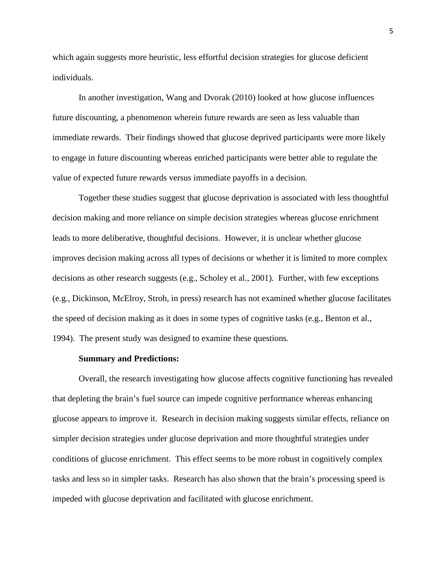which again suggests more heuristic, less effortful decision strategies for glucose deficient individuals.

In another investigation, Wang and Dvorak (2010) looked at how glucose influences future discounting, a phenomenon wherein future rewards are seen as less valuable than immediate rewards. Their findings showed that glucose deprived participants were more likely to engage in future discounting whereas enriched participants were better able to regulate the value of expected future rewards versus immediate payoffs in a decision.

Together these studies suggest that glucose deprivation is associated with less thoughtful decision making and more reliance on simple decision strategies whereas glucose enrichment leads to more deliberative, thoughtful decisions. However, it is unclear whether glucose improves decision making across all types of decisions or whether it is limited to more complex decisions as other research suggests (e.g., Scholey et al., 2001). Further, with few exceptions (e.g., Dickinson, McElroy, Stroh, in press) research has not examined whether glucose facilitates the speed of decision making as it does in some types of cognitive tasks (e.g., Benton et al., 1994). The present study was designed to examine these questions.

#### **Summary and Predictions:**

Overall, the research investigating how glucose affects cognitive functioning has revealed that depleting the brain's fuel source can impede cognitive performance whereas enhancing glucose appears to improve it. Research in decision making suggests similar effects, reliance on simpler decision strategies under glucose deprivation and more thoughtful strategies under conditions of glucose enrichment. This effect seems to be more robust in cognitively complex tasks and less so in simpler tasks. Research has also shown that the brain's processing speed is impeded with glucose deprivation and facilitated with glucose enrichment.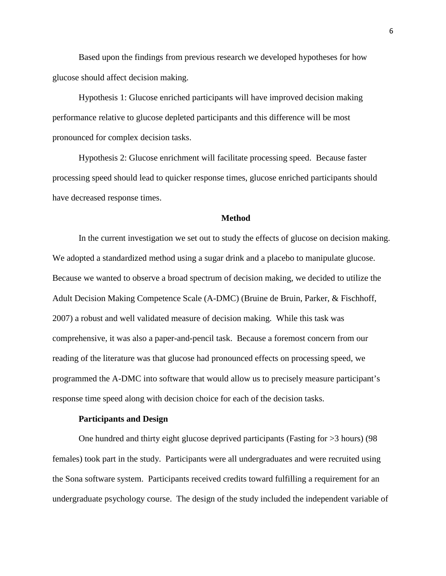Based upon the findings from previous research we developed hypotheses for how glucose should affect decision making.

Hypothesis 1: Glucose enriched participants will have improved decision making performance relative to glucose depleted participants and this difference will be most pronounced for complex decision tasks.

Hypothesis 2: Glucose enrichment will facilitate processing speed. Because faster processing speed should lead to quicker response times, glucose enriched participants should have decreased response times.

#### **Method**

In the current investigation we set out to study the effects of glucose on decision making. We adopted a standardized method using a sugar drink and a placebo to manipulate glucose. Because we wanted to observe a broad spectrum of decision making, we decided to utilize the Adult Decision Making Competence Scale (A-DMC) (Bruine de Bruin, Parker, & Fischhoff, 2007) a robust and well validated measure of decision making. While this task was comprehensive, it was also a paper-and-pencil task. Because a foremost concern from our reading of the literature was that glucose had pronounced effects on processing speed, we programmed the A-DMC into software that would allow us to precisely measure participant's response time speed along with decision choice for each of the decision tasks.

#### **Participants and Design**

One hundred and thirty eight glucose deprived participants (Fasting for >3 hours) (98 females) took part in the study. Participants were all undergraduates and were recruited using the Sona software system. Participants received credits toward fulfilling a requirement for an undergraduate psychology course. The design of the study included the independent variable of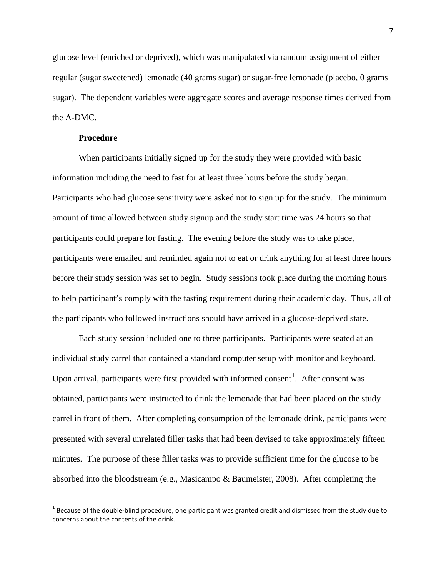glucose level (enriched or deprived), which was manipulated via random assignment of either regular (sugar sweetened) lemonade (40 grams sugar) or sugar-free lemonade (placebo, 0 grams sugar). The dependent variables were aggregate scores and average response times derived from the A-DMC.

#### **Procedure**

When participants initially signed up for the study they were provided with basic information including the need to fast for at least three hours before the study began. Participants who had glucose sensitivity were asked not to sign up for the study. The minimum amount of time allowed between study signup and the study start time was 24 hours so that participants could prepare for fasting. The evening before the study was to take place, participants were emailed and reminded again not to eat or drink anything for at least three hours before their study session was set to begin. Study sessions took place during the morning hours to help participant's comply with the fasting requirement during their academic day. Thus, all of the participants who followed instructions should have arrived in a glucose-deprived state.

Each study session included one to three participants. Participants were seated at an individual study carrel that contained a standard computer setup with monitor and keyboard. Upon arrival, participants were first provided with informed consent<sup>1</sup>. After consent was obtained, participants were instructed to drink the lemonade that had been placed on the study carrel in front of them. After completing consumption of the lemonade drink, participants were presented with several unrelated filler tasks that had been devised to take approximately fifteen minutes. The purpose of these filler tasks was to provide sufficient time for the glucose to be absorbed into the bloodstream (e.g., Masicampo & Baumeister, 2008). After completing the

 $1$  Because of the double-blind procedure, one participant was granted credit and dismissed from the study due to concerns about the contents of the drink.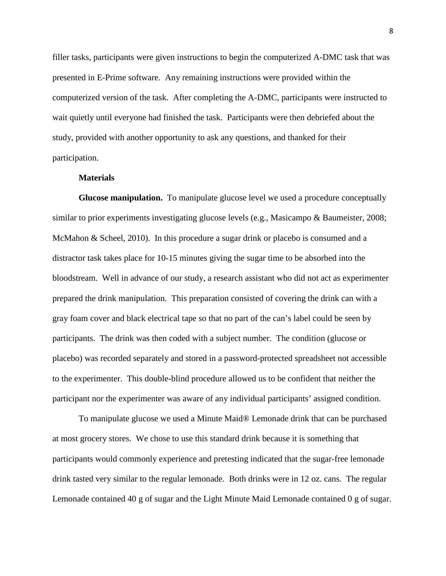filler tasks, participants were given instructions to begin the computerized A-DMC task that was presented in E-Prime software. Any remaining instructions were provided within the computerized version of the task. After completing the A-DMC, participants were instructed to wait quietly until everyone had finished the task. Participants were then debriefed about the study, provided with another opportunity to ask any questions, and thanked for their participation.

#### **Materials**

**Glucose manipulation.** To manipulate glucose level we used a procedure conceptually similar to prior experiments investigating glucose levels (e.g., Masicampo & Baumeister, 2008; McMahon & Scheel, 2010). In this procedure a sugar drink or placebo is consumed and a distractor task takes place for 10-15 minutes giving the sugar time to be absorbed into the bloodstream. Well in advance of our study, a research assistant who did not act as experimenter prepared the drink manipulation. This preparation consisted of covering the drink can with a gray foam cover and black electrical tape so that no part of the can's label could be seen by participants. The drink was then coded with a subject number. The condition (glucose or placebo) was recorded separately and stored in a password-protected spreadsheet not accessible to the experimenter. This double-blind procedure allowed us to be confident that neither the participant nor the experimenter was aware of any individual participants' assigned condition.

To manipulate glucose we used a Minute Maid® Lemonade drink that can be purchased at most grocery stores. We chose to use this standard drink because it is something that participants would commonly experience and pretesting indicated that the sugar-free lemonade drink tasted very similar to the regular lemonade. Both drinks were in 12 oz. cans. The regular Lemonade contained 40 g of sugar and the Light Minute Maid Lemonade contained 0 g of sugar.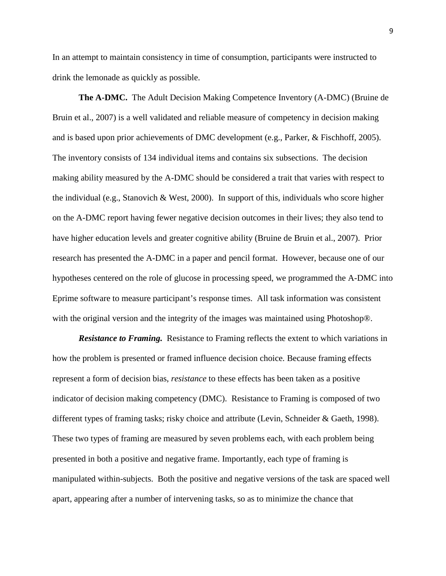In an attempt to maintain consistency in time of consumption, participants were instructed to drink the lemonade as quickly as possible.

**The A-DMC.** The Adult Decision Making Competence Inventory (A-DMC) (Bruine de Bruin et al., 2007) is a well validated and reliable measure of competency in decision making and is based upon prior achievements of DMC development (e.g., Parker, & Fischhoff, 2005). The inventory consists of 134 individual items and contains six subsections. The decision making ability measured by the A-DMC should be considered a trait that varies with respect to the individual (e.g., Stanovich & West, 2000). In support of this, individuals who score higher on the A-DMC report having fewer negative decision outcomes in their lives; they also tend to have higher education levels and greater cognitive ability (Bruine de Bruin et al., 2007). Prior research has presented the A-DMC in a paper and pencil format. However, because one of our hypotheses centered on the role of glucose in processing speed, we programmed the A-DMC into Eprime software to measure participant's response times. All task information was consistent with the original version and the integrity of the images was maintained using Photoshop®.

**Resistance to Framing.** Resistance to Framing reflects the extent to which variations in how the problem is presented or framed influence decision choice. Because framing effects represent a form of decision bias, *resistance* to these effects has been taken as a positive indicator of decision making competency (DMC). Resistance to Framing is composed of two different types of framing tasks; risky choice and attribute (Levin, Schneider & Gaeth, 1998). These two types of framing are measured by seven problems each, with each problem being presented in both a positive and negative frame. Importantly, each type of framing is manipulated within-subjects. Both the positive and negative versions of the task are spaced well apart, appearing after a number of intervening tasks, so as to minimize the chance that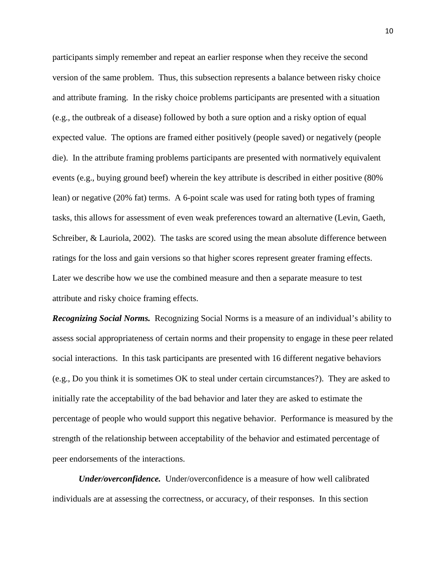participants simply remember and repeat an earlier response when they receive the second version of the same problem. Thus, this subsection represents a balance between risky choice and attribute framing. In the risky choice problems participants are presented with a situation (e.g., the outbreak of a disease) followed by both a sure option and a risky option of equal expected value. The options are framed either positively (people saved) or negatively (people die). In the attribute framing problems participants are presented with normatively equivalent events (e.g., buying ground beef) wherein the key attribute is described in either positive (80% lean) or negative (20% fat) terms. A 6-point scale was used for rating both types of framing tasks, this allows for assessment of even weak preferences toward an alternative (Levin, Gaeth, Schreiber, & Lauriola, 2002). The tasks are scored using the mean absolute difference between ratings for the loss and gain versions so that higher scores represent greater framing effects. Later we describe how we use the combined measure and then a separate measure to test attribute and risky choice framing effects.

*Recognizing Social Norms.* Recognizing Social Norms is a measure of an individual's ability to assess social appropriateness of certain norms and their propensity to engage in these peer related social interactions. In this task participants are presented with 16 different negative behaviors (e.g., Do you think it is sometimes OK to steal under certain circumstances?). They are asked to initially rate the acceptability of the bad behavior and later they are asked to estimate the percentage of people who would support this negative behavior. Performance is measured by the strength of the relationship between acceptability of the behavior and estimated percentage of peer endorsements of the interactions.

*Under/overconfidence.* Under/overconfidence is a measure of how well calibrated individuals are at assessing the correctness, or accuracy, of their responses. In this section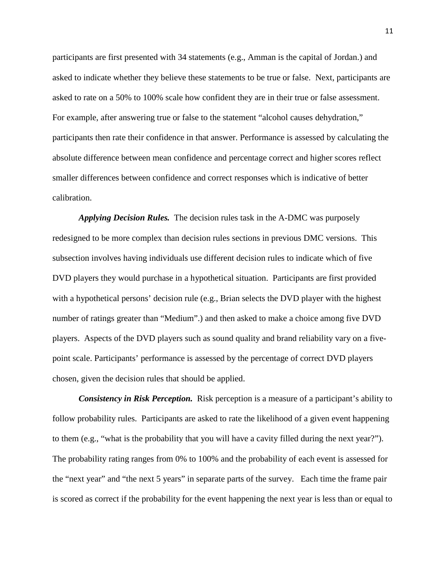participants are first presented with 34 statements (e.g., Amman is the capital of Jordan.) and asked to indicate whether they believe these statements to be true or false. Next, participants are asked to rate on a 50% to 100% scale how confident they are in their true or false assessment. For example, after answering true or false to the statement "alcohol causes dehydration," participants then rate their confidence in that answer. Performance is assessed by calculating the absolute difference between mean confidence and percentage correct and higher scores reflect smaller differences between confidence and correct responses which is indicative of better calibration.

*Applying Decision Rules.* The decision rules task in the A-DMC was purposely redesigned to be more complex than decision rules sections in previous DMC versions. This subsection involves having individuals use different decision rules to indicate which of five DVD players they would purchase in a hypothetical situation. Participants are first provided with a hypothetical persons' decision rule (e.g., Brian selects the DVD player with the highest number of ratings greater than "Medium".) and then asked to make a choice among five DVD players. Aspects of the DVD players such as sound quality and brand reliability vary on a fivepoint scale. Participants' performance is assessed by the percentage of correct DVD players chosen, given the decision rules that should be applied.

*Consistency in Risk Perception.* Risk perception is a measure of a participant's ability to follow probability rules. Participants are asked to rate the likelihood of a given event happening to them (e.g., "what is the probability that you will have a cavity filled during the next year?"). The probability rating ranges from 0% to 100% and the probability of each event is assessed for the "next year" and "the next 5 years" in separate parts of the survey. Each time the frame pair is scored as correct if the probability for the event happening the next year is less than or equal to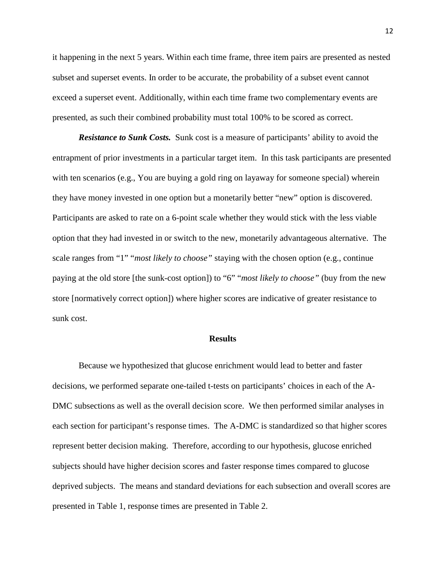it happening in the next 5 years. Within each time frame, three item pairs are presented as nested subset and superset events. In order to be accurate, the probability of a subset event cannot exceed a superset event. Additionally, within each time frame two complementary events are presented, as such their combined probability must total 100% to be scored as correct.

*Resistance to Sunk Costs.* Sunk cost is a measure of participants' ability to avoid the entrapment of prior investments in a particular target item. In this task participants are presented with ten scenarios (e.g., You are buying a gold ring on layaway for someone special) wherein they have money invested in one option but a monetarily better "new" option is discovered. Participants are asked to rate on a 6-point scale whether they would stick with the less viable option that they had invested in or switch to the new, monetarily advantageous alternative. The scale ranges from "1" "*most likely to choose"* staying with the chosen option (e.g., continue paying at the old store [the sunk-cost option]) to "6" "*most likely to choose"* (buy from the new store [normatively correct option]) where higher scores are indicative of greater resistance to sunk cost.

#### **Results**

Because we hypothesized that glucose enrichment would lead to better and faster decisions, we performed separate one-tailed t-tests on participants' choices in each of the A-DMC subsections as well as the overall decision score. We then performed similar analyses in each section for participant's response times. The A-DMC is standardized so that higher scores represent better decision making. Therefore, according to our hypothesis, glucose enriched subjects should have higher decision scores and faster response times compared to glucose deprived subjects. The means and standard deviations for each subsection and overall scores are presented in Table 1, response times are presented in Table 2.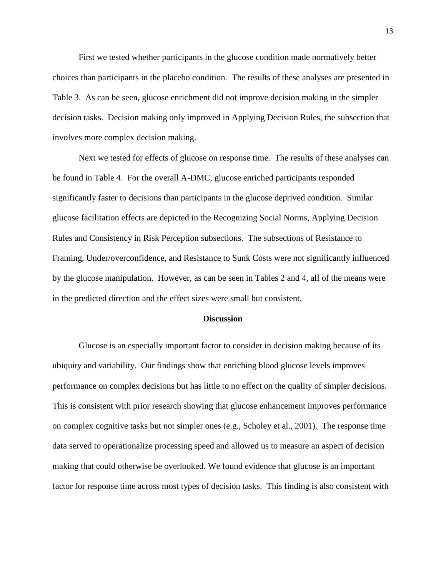First we tested whether participants in the glucose condition made normatively better choices than participants in the placebo condition. The results of these analyses are presented in Table 3. As can be seen, glucose enrichment did not improve decision making in the simpler decision tasks. Decision making only improved in Applying Decision Rules, the subsection that involves more complex decision making.

Next we tested for effects of glucose on response time. The results of these analyses can be found in Table 4. For the overall A-DMC, glucose enriched participants responded significantly faster to decisions than participants in the glucose deprived condition. Similar glucose facilitation effects are depicted in the Recognizing Social Norms, Applying Decision Rules and Consistency in Risk Perception subsections. The subsections of Resistance to Framing, Under/overconfidence, and Resistance to Sunk Costs were not significantly influenced by the glucose manipulation. However, as can be seen in Tables 2 and 4, all of the means were in the predicted direction and the effect sizes were small but consistent.

#### **Discussion**

Glucose is an especially important factor to consider in decision making because of its ubiquity and variability. Our findings show that enriching blood glucose levels improves performance on complex decisions but has little to no effect on the quality of simpler decisions. This is consistent with prior research showing that glucose enhancement improves performance on complex cognitive tasks but not simpler ones (e.g., Scholey et al., 2001). The response time data served to operationalize processing speed and allowed us to measure an aspect of decision making that could otherwise be overlooked. We found evidence that glucose is an important factor for response time across most types of decision tasks. This finding is also consistent with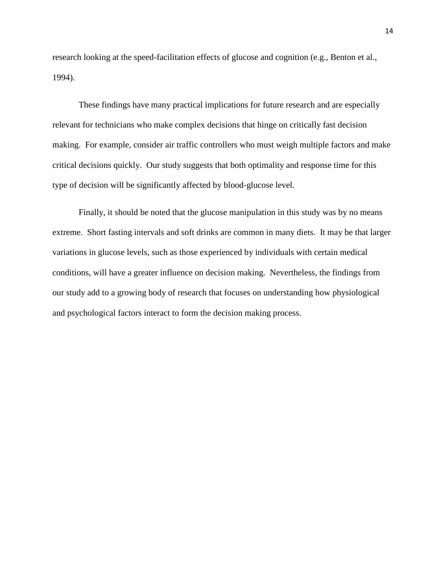research looking at the speed-facilitation effects of glucose and cognition (e.g., Benton et al., 1994).

These findings have many practical implications for future research and are especially relevant for technicians who make complex decisions that hinge on critically fast decision making. For example, consider air traffic controllers who must weigh multiple factors and make critical decisions quickly. Our study suggests that both optimality and response time for this type of decision will be significantly affected by blood-glucose level.

Finally, it should be noted that the glucose manipulation in this study was by no means extreme. Short fasting intervals and soft drinks are common in many diets. It may be that larger variations in glucose levels, such as those experienced by individuals with certain medical conditions, will have a greater influence on decision making. Nevertheless, the findings from our study add to a growing body of research that focuses on understanding how physiological and psychological factors interact to form the decision making process.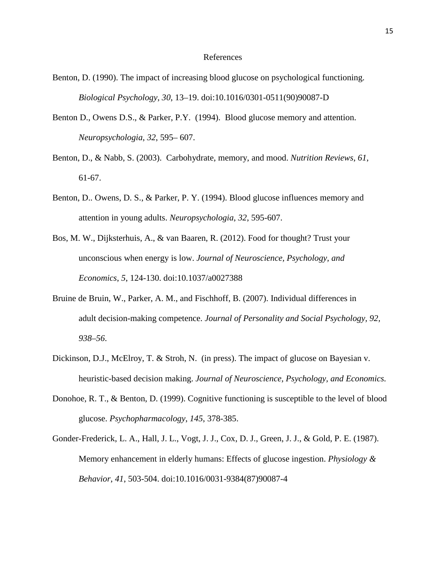#### References

- Benton, D. (1990). The impact of increasing blood glucose on psychological functioning. *Biological Psychology*, *30*, 13–19. doi:10.1016/0301-0511(90)90087-D
- Benton D., Owens D.S., & Parker, P.Y. (1994). Blood glucose memory and attention. *Neuropsychologia*, *32*, 595– 607.
- Benton, D., & Nabb, S. (2003). Carbohydrate, memory, and mood. *Nutrition Reviews*, *61*, 61-67.
- Benton, D.. Owens, D. S., & Parker, P. Y. (1994). Blood glucose influences memory and attention in young adults. *Neuropsychologia*, *32*, 595-607.
- Bos, M. W., Dijksterhuis, A., & van Baaren, R. (2012). Food for thought? Trust your unconscious when energy is low. *Journal of Neuroscience, Psychology, and Economics*, *5*, 124-130. doi:10.1037/a0027388
- Bruine de Bruin, W., Parker, A. M., and Fischhoff, B. (2007). Individual differences in adult decision-making competence. *Journal of Personality and Social Psychology, 92, 938–56*.
- Dickinson, D.J., McElroy, T. & Stroh, N. (in press). The impact of glucose on Bayesian v. heuristic-based decision making. *Journal of Neuroscience, Psychology, and Economics.*
- Donohoe, R. T., & Benton, D. (1999). Cognitive functioning is susceptible to the level of blood glucose. *Psychopharmacology*, *145*, 378-385.
- Gonder-Frederick, L. A., Hall, J. L., Vogt, J. J., Cox, D. J., Green, J. J., & Gold, P. E. (1987). Memory enhancement in elderly humans: Effects of glucose ingestion. *Physiology & Behavior*, *41*, 503-504. doi:10.1016/0031-9384(87)90087-4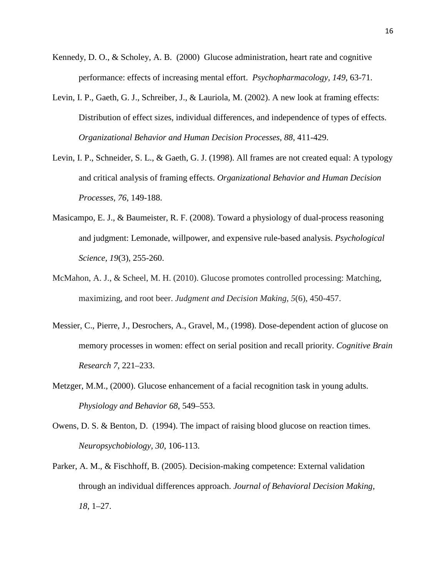- Kennedy, D. O., & Scholey, A. B. (2000) Glucose administration, heart rate and cognitive performance: effects of increasing mental effort. *Psychopharmacology, 149*, 63-71.
- Levin, I. P., Gaeth, G. J., Schreiber, J., & Lauriola, M. (2002). A new look at framing effects: Distribution of effect sizes, individual differences, and independence of types of effects. *Organizational Behavior and Human Decision Processes, 88,* 411-429.
- Levin, I. P., Schneider, S. L., & Gaeth, G. J. (1998). All frames are not created equal: A typology and critical analysis of framing effects. *Organizational Behavior and Human Decision Processes, 76*, 149-188.
- Masicampo, E. J., & Baumeister, R. F. (2008). Toward a physiology of dual-process reasoning and judgment: Lemonade, willpower, and expensive rule-based analysis. *Psychological Science, 19*(3), 255-260.
- McMahon, A. J., & Scheel, M. H. (2010). Glucose promotes controlled processing: Matching, maximizing, and root beer. *Judgment and Decision Making*, *5*(6), 450-457.
- Messier, C., Pierre, J., Desrochers, A., Gravel, M., (1998). Dose-dependent action of glucose on memory processes in women: effect on serial position and recall priority. *Cognitive Brain Research 7*, 221–233.
- Metzger, M.M., (2000). Glucose enhancement of a facial recognition task in young adults. *Physiology and Behavior 68*, 549–553.
- Owens, D. S. & Benton, D. (1994). The impact of raising blood glucose on reaction times. *Neuropsychobiology, 30*, 106-113.
- Parker, A. M., & Fischhoff, B. (2005). Decision-making competence: External validation through an individual differences approach. *Journal of Behavioral Decision Making, 18*, 1–27.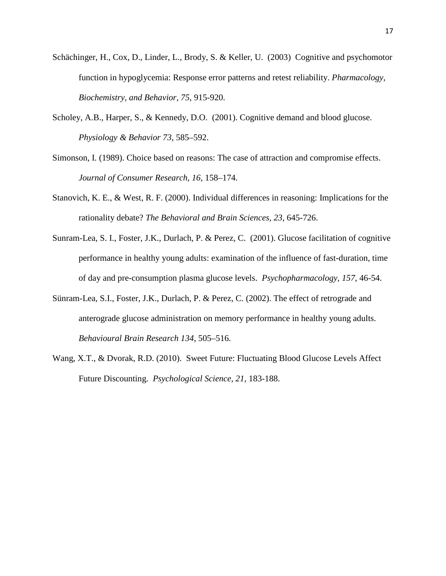- Schächinger, H., Cox, D., Linder, L., Brody, S. & Keller, U. (2003) Cognitive and psychomotor function in hypoglycemia: Response error patterns and retest reliability. *Pharmacology, Biochemistry, and Behavior, 75*, 915-920.
- Scholey, A.B., Harper, S., & Kennedy, D.O. (2001). Cognitive demand and blood glucose. *Physiology & Behavior 73*, 585–592.
- Simonson, I. (1989). Choice based on reasons: The case of attraction and compromise effects. *Journal of Consumer Research, 16,* 158–174.
- Stanovich, K. E., & West, R. F. (2000). Individual differences in reasoning: Implications for the rationality debate? *The Behavioral and Brain Sciences, 23,* 645-726.
- Sunram-Lea, S. I., Foster, J.K., Durlach, P. & Perez, C. (2001). Glucose facilitation of cognitive performance in healthy young adults: examination of the influence of fast-duration, time of day and pre-consumption plasma glucose levels. *Psychopharmacology, 157*, 46-54.
- Sünram-Lea, S.I., Foster, J.K., Durlach, P. & Perez, C. (2002). The effect of retrograde and anterograde glucose administration on memory performance in healthy young adults. *Behavioural Brain Research 134*, 505–516.
- Wang, X.T., & Dvorak, R.D. (2010). Sweet Future: Fluctuating Blood Glucose Levels Affect Future Discounting. *Psychological Science, 21,* 183-188.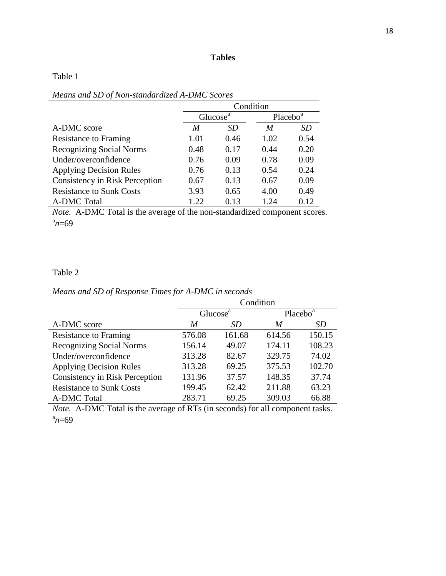### **Tables**

### Table 1

|                                       |                      | Condition |                      |           |
|---------------------------------------|----------------------|-----------|----------------------|-----------|
|                                       | Glucose <sup>a</sup> |           | Placebo <sup>a</sup> |           |
| A-DMC score                           | M                    | <i>SD</i> | M                    | <i>SD</i> |
| <b>Resistance to Framing</b>          | 1.01                 | 0.46      | 1.02                 | 0.54      |
| <b>Recognizing Social Norms</b>       | 0.48                 | 0.17      | 0.44                 | 0.20      |
| Under/overconfidence                  | 0.76                 | 0.09      | 0.78                 | 0.09      |
| <b>Applying Decision Rules</b>        | 0.76                 | 0.13      | 0.54                 | 0.24      |
| <b>Consistency in Risk Perception</b> | 0.67                 | 0.13      | 0.67                 | 0.09      |
| <b>Resistance to Sunk Costs</b>       | 3.93                 | 0.65      | 4.00                 | 0.49      |
| <b>A-DMC</b> Total                    | 1.22                 | 0.13      | 1.24                 | 0.12      |

*Means and SD of Non-standardized A-DMC Scores*

*Note.* A-DMC Total is the average of the non-standardized component scores.  $n = 69$ 

### Table 2

| Means and SD of Response Times for A-DMC in seconds |  |  |
|-----------------------------------------------------|--|--|
|-----------------------------------------------------|--|--|

|                                 |        | Condition            |        |                      |  |
|---------------------------------|--------|----------------------|--------|----------------------|--|
|                                 |        | Glucose <sup>a</sup> |        | Placebo <sup>a</sup> |  |
| A-DMC score                     | M      | SD                   | M      | SD                   |  |
| <b>Resistance to Framing</b>    | 576.08 | 161.68               | 614.56 | 150.15               |  |
| <b>Recognizing Social Norms</b> | 156.14 | 49.07                | 174.11 | 108.23               |  |
| Under/overconfidence            | 313.28 | 82.67                | 329.75 | 74.02                |  |
| <b>Applying Decision Rules</b>  | 313.28 | 69.25                | 375.53 | 102.70               |  |
| Consistency in Risk Perception  | 131.96 | 37.57                | 148.35 | 37.74                |  |
| <b>Resistance to Sunk Costs</b> | 199.45 | 62.42                | 211.88 | 63.23                |  |
| A-DMC Total                     | 283.71 | 69.25                | 309.03 | 66.88                |  |

*Note.* A-DMC Total is the average of RTs (in seconds) for all component tasks.  $n = 69$